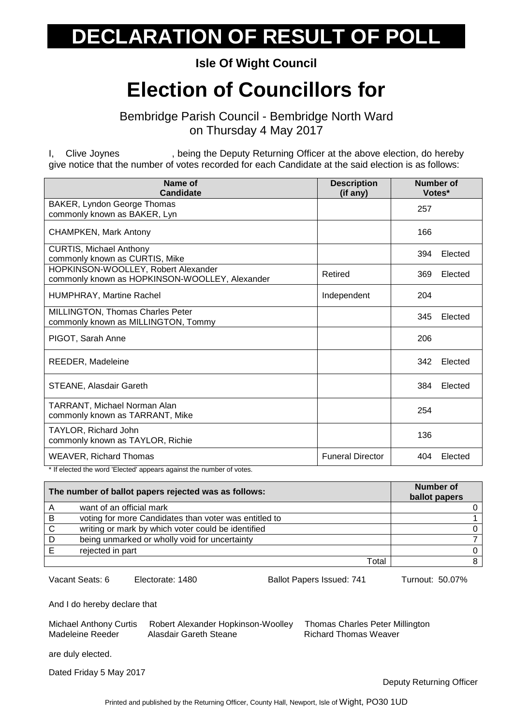#### **Isle Of Wight Council**

## **Election of Councillors for**

Bembridge Parish Council - Bembridge North Ward on Thursday 4 May 2017

I, Clive Joynes , being the Deputy Returning Officer at the above election, do hereby give notice that the number of votes recorded for each Candidate at the said election is as follows:

| Name of<br>Candidate                                                                  | <b>Description</b><br>(if any) | Number of<br>Votes* |
|---------------------------------------------------------------------------------------|--------------------------------|---------------------|
| BAKER, Lyndon George Thomas<br>commonly known as BAKER, Lyn                           |                                | 257                 |
| <b>CHAMPKEN, Mark Antony</b>                                                          |                                | 166                 |
| <b>CURTIS, Michael Anthony</b><br>commonly known as CURTIS, Mike                      |                                | 394<br>Elected      |
| HOPKINSON-WOOLLEY, Robert Alexander<br>commonly known as HOPKINSON-WOOLLEY, Alexander | Retired                        | 369<br>Elected      |
| HUMPHRAY, Martine Rachel                                                              | Independent                    | 204                 |
| MILLINGTON, Thomas Charles Peter<br>commonly known as MILLINGTON, Tommy               |                                | 345<br>Elected      |
| PIGOT, Sarah Anne                                                                     |                                | 206                 |
| REEDER, Madeleine                                                                     |                                | 342<br>Elected      |
| <b>STEANE, Alasdair Gareth</b>                                                        |                                | 384<br>Elected      |
| TARRANT, Michael Norman Alan<br>commonly known as TARRANT, Mike                       |                                | 254                 |
| <b>TAYLOR, Richard John</b><br>commonly known as TAYLOR, Richie                       |                                | 136                 |
| <b>WEAVER, Richard Thomas</b>                                                         | <b>Funeral Director</b>        | 404<br>Elected      |

\* If elected the word 'Elected' appears against the number of votes.

| The number of ballot papers rejected was as follows: |                                                       | Number of<br>ballot papers |
|------------------------------------------------------|-------------------------------------------------------|----------------------------|
| Α                                                    | want of an official mark                              |                            |
| B                                                    | voting for more Candidates than voter was entitled to |                            |
| C                                                    | writing or mark by which voter could be identified    |                            |
| D                                                    | being unmarked or wholly void for uncertainty         |                            |
|                                                      | rejected in part                                      | <sup>n</sup>               |
|                                                      | Total                                                 |                            |

Vacant Seats: 6 Electorate: 1480 Ballot Papers Issued: 741 Turnout: 50.07%

And I do hereby declare that

| <b>Michael Anthony Curtis</b> | Robert Alexander Hopkinson-Woolley | <b>Thomas Charles Peter Millington</b> |
|-------------------------------|------------------------------------|----------------------------------------|
| Madeleine Reeder              | Alasdair Gareth Steane             | Richard Thomas Weaver                  |

are duly elected.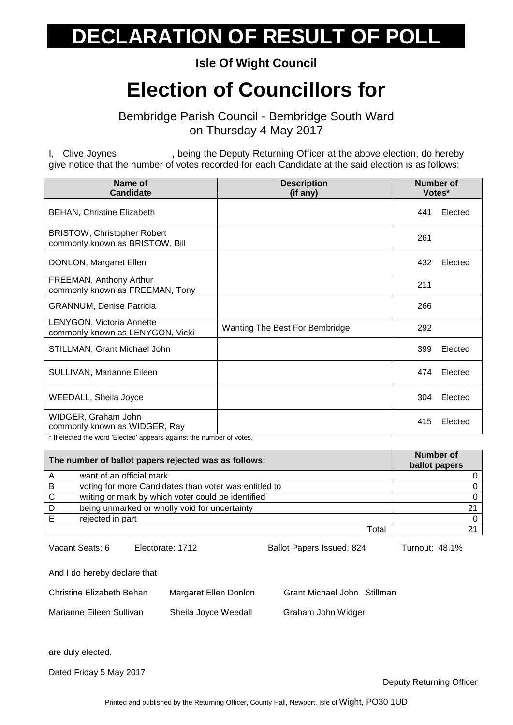**Isle Of Wight Council**

## **Election of Councillors for**

Bembridge Parish Council - Bembridge South Ward on Thursday 4 May 2017

I, Clive Joynes , being the Deputy Returning Officer at the above election, do hereby give notice that the number of votes recorded for each Candidate at the said election is as follows:

| Name of<br><b>Candidate</b>                                           | <b>Description</b><br>(if any) | <b>Number of</b><br>Votes* |  |
|-----------------------------------------------------------------------|--------------------------------|----------------------------|--|
| <b>BEHAN, Christine Elizabeth</b>                                     |                                | 441<br>Elected             |  |
| <b>BRISTOW, Christopher Robert</b><br>commonly known as BRISTOW, Bill |                                | 261                        |  |
| DONLON, Margaret Ellen                                                |                                | 432<br>Elected             |  |
| FREEMAN, Anthony Arthur<br>commonly known as FREEMAN, Tony            |                                | 211                        |  |
| <b>GRANNUM, Denise Patricia</b>                                       |                                | 266                        |  |
| <b>LENYGON, Victoria Annette</b><br>commonly known as LENYGON, Vicki  | Wanting The Best For Bembridge | 292                        |  |
| STILLMAN, Grant Michael John                                          |                                | 399<br>Elected             |  |
| SULLIVAN, Marianne Eileen                                             |                                | 474<br>Elected             |  |
| <b>WEEDALL, Sheila Joyce</b>                                          |                                | Elected<br>304             |  |
| WIDGER, Graham John<br>commonly known as WIDGER, Ray                  |                                | 415<br>Elected             |  |

\* If elected the word 'Elected' appears against the number of votes.

| The number of ballot papers rejected was as follows: |                                                       | <b>Number of</b><br>ballot papers |
|------------------------------------------------------|-------------------------------------------------------|-----------------------------------|
|                                                      | want of an official mark                              |                                   |
| B                                                    | voting for more Candidates than voter was entitled to |                                   |
| <sub>C</sub>                                         | writing or mark by which voter could be identified    |                                   |
| D                                                    | being unmarked or wholly void for uncertainty         | $\Omega$                          |
|                                                      | rejected in part                                      |                                   |
|                                                      | Total                                                 |                                   |

Vacant Seats: 6 Electorate: 1712 Ballot Papers Issued: 824 Turnout: 48.1% And I do hereby declare that Christine Elizabeth Behan Margaret Ellen Donlon Grant Michael John Stillman Marianne Eileen Sullivan Sheila Joyce Weedall Graham John Widger are duly elected.

Dated Friday 5 May 2017

Deputy Returning Officer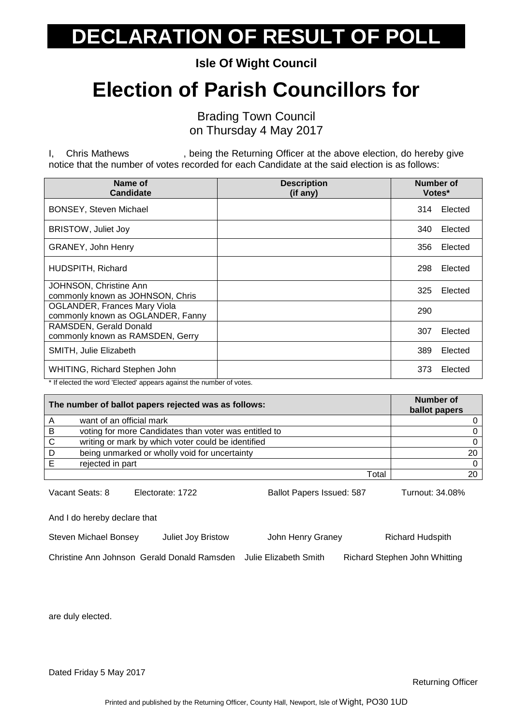**Isle Of Wight Council**

## **Election of Parish Councillors for**

Brading Town Council on Thursday 4 May 2017

I, Chris Mathews , being the Returning Officer at the above election, do hereby give notice that the number of votes recorded for each Candidate at the said election is as follows:

| Name of<br><b>Candidate</b>                                              | <b>Description</b><br>(if any) | Number of<br>Votes* |
|--------------------------------------------------------------------------|--------------------------------|---------------------|
| <b>BONSEY, Steven Michael</b>                                            |                                | Elected<br>314      |
| <b>BRISTOW, Juliet Joy</b>                                               |                                | Elected<br>340      |
| <b>GRANEY, John Henry</b>                                                |                                | Elected<br>356      |
| HUDSPITH, Richard                                                        |                                | 298<br>Elected      |
| JOHNSON, Christine Ann<br>commonly known as JOHNSON, Chris               |                                | 325<br>Elected      |
| <b>OGLANDER, Frances Mary Viola</b><br>commonly known as OGLANDER, Fanny |                                | 290                 |
| RAMSDEN, Gerald Donald<br>commonly known as RAMSDEN, Gerry               |                                | Elected<br>307      |
| SMITH, Julie Elizabeth                                                   |                                | 389<br>Elected      |
| WHITING, Richard Stephen John                                            |                                | Elected<br>373      |

\* If elected the word 'Elected' appears against the number of votes.

| The number of ballot papers rejected was as follows: |                                                       | <b>Number of</b><br>ballot papers |
|------------------------------------------------------|-------------------------------------------------------|-----------------------------------|
|                                                      | want of an official mark                              |                                   |
| B                                                    | voting for more Candidates than voter was entitled to |                                   |
| <sub>C</sub>                                         | writing or mark by which voter could be identified    |                                   |
| D                                                    | being unmarked or wholly void for uncertainty         | 20                                |
|                                                      | rejected in part                                      | 0.                                |
|                                                      | Total                                                 |                                   |

Vacant Seats: 8 Electorate: 1722 Ballot Papers Issued: 587 Turnout: 34.08%

And I do hereby declare that

Steven Michael Bonsey Juliet Joy Bristow John Henry Graney Richard Hudspith

Christine Ann Johnson Gerald Donald Ramsden Julie Elizabeth Smith Richard Stephen John Whitting

are duly elected.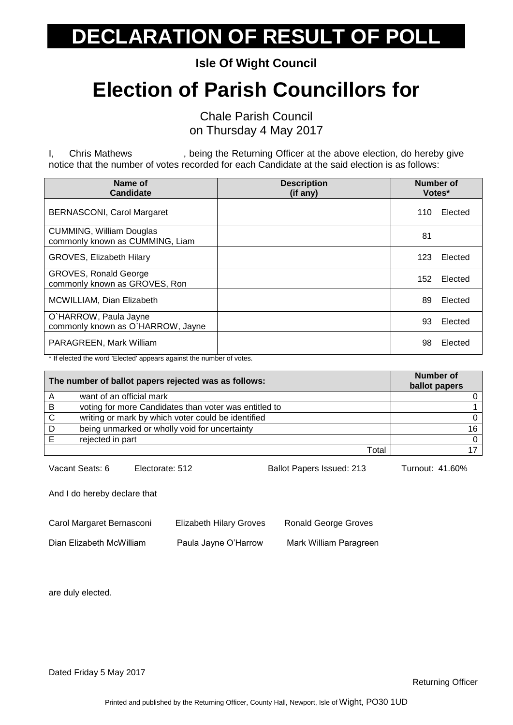**Isle Of Wight Council**

## **Election of Parish Councillors for**

Chale Parish Council on Thursday 4 May 2017

I, Chris Mathews , being the Returning Officer at the above election, do hereby give notice that the number of votes recorded for each Candidate at the said election is as follows:

| Name of<br><b>Candidate</b>                                        | <b>Description</b><br>(if any) | Number of<br>Votes* |         |
|--------------------------------------------------------------------|--------------------------------|---------------------|---------|
| <b>BERNASCONI, Carol Margaret</b>                                  |                                | 110                 | Elected |
| <b>CUMMING, William Douglas</b><br>commonly known as CUMMING, Liam |                                | 81                  |         |
| <b>GROVES, Elizabeth Hilary</b>                                    |                                | 123                 | Elected |
| <b>GROVES, Ronald George</b><br>commonly known as GROVES, Ron      |                                | 152                 | Elected |
| MCWILLIAM, Dian Elizabeth                                          |                                | 89                  | Elected |
| O`HARROW, Paula Jayne<br>commonly known as O'HARROW, Jayne         |                                | 93                  | Elected |
| PARAGREEN, Mark William                                            |                                | 98                  | Elected |

\* If elected the word 'Elected' appears against the number of votes.

|   | The number of ballot papers rejected was as follows:  | <b>Number of</b><br>ballot papers |
|---|-------------------------------------------------------|-----------------------------------|
| A | want of an official mark                              |                                   |
| B | voting for more Candidates than voter was entitled to |                                   |
| C | writing or mark by which voter could be identified    |                                   |
| D | being unmarked or wholly void for uncertainty         | 16.                               |
|   | rejected in part                                      |                                   |
|   | Total                                                 |                                   |

Vacant Seats: 6 Electorate: 512 Ballot Papers Issued: 213 Turnout: 41.60%

And I do hereby declare that

| Carol Margaret Bernasconi | <b>Elizabeth Hilary Groves</b> | <b>Ronald George Groves</b> |
|---------------------------|--------------------------------|-----------------------------|
| Dian Elizabeth McWilliam  | Paula Jayne O'Harrow           | Mark William Paragreen      |

are duly elected.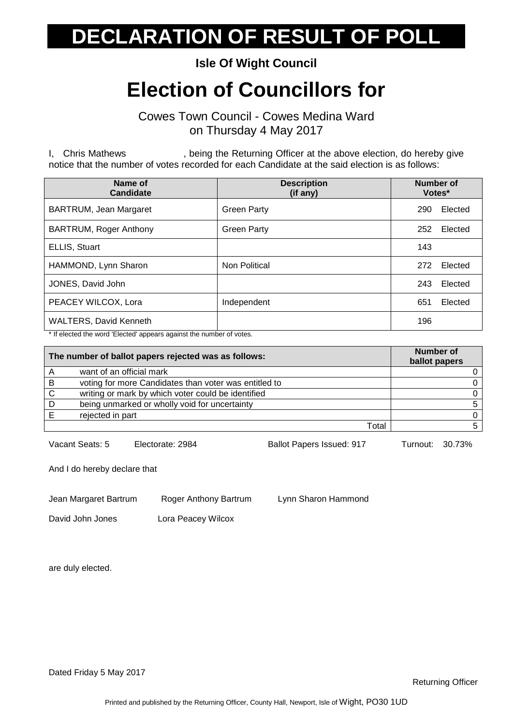**Isle Of Wight Council**

## **Election of Councillors for**

Cowes Town Council - Cowes Medina Ward on Thursday 4 May 2017

I, Chris Mathews , being the Returning Officer at the above election, do hereby give notice that the number of votes recorded for each Candidate at the said election is as follows:

| Name of<br><b>Candidate</b>   | <b>Description</b><br>(if any) | <b>Number of</b><br>Votes* |
|-------------------------------|--------------------------------|----------------------------|
| BARTRUM, Jean Margaret        | <b>Green Party</b>             | Elected<br>290             |
| <b>BARTRUM, Roger Anthony</b> | <b>Green Party</b>             | Elected<br>252             |
| ELLIS, Stuart                 |                                | 143                        |
| HAMMOND, Lynn Sharon          | Non Political                  | Elected<br>272             |
| JONES, David John             |                                | Elected<br>243             |
| PEACEY WILCOX, Lora           | Independent                    | 651<br>Elected             |
| <b>WALTERS, David Kenneth</b> |                                | 196                        |

\* If elected the word 'Elected' appears against the number of votes.

| The number of ballot papers rejected was as follows: |                                                       | Number of<br>ballot papers |
|------------------------------------------------------|-------------------------------------------------------|----------------------------|
|                                                      | want of an official mark                              |                            |
| B                                                    | voting for more Candidates than voter was entitled to |                            |
| C                                                    | writing or mark by which voter could be identified    |                            |
| D                                                    | being unmarked or wholly void for uncertainty         |                            |
|                                                      | rejected in part                                      |                            |
|                                                      | Total                                                 |                            |

Vacant Seats: 5 Electorate: 2984 Ballot Papers Issued: 917 Turnout: 30.73%

And I do hereby declare that

Jean Margaret Bartrum Roger Anthony Bartrum Lynn Sharon Hammond

David John Jones Lora Peacey Wilcox

are duly elected.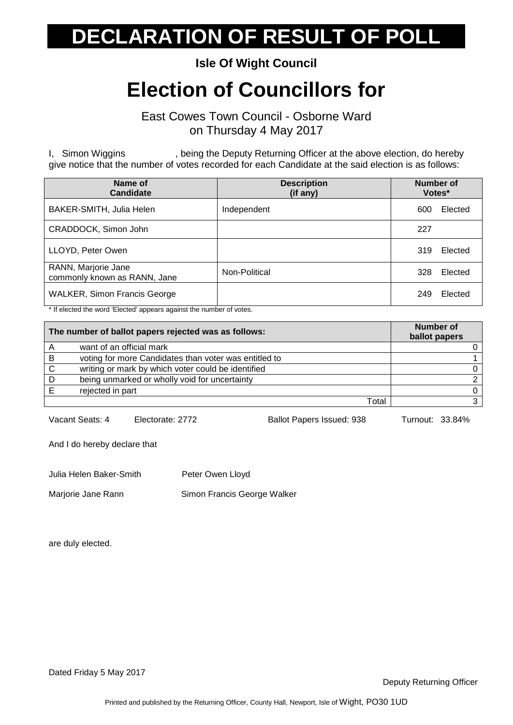**Isle Of Wight Council**

## **Election of Councillors for**

East Cowes Town Council - Osborne Ward on Thursday 4 May 2017

I, Simon Wiggins , being the Deputy Returning Officer at the above election, do hereby give notice that the number of votes recorded for each Candidate at the said election is as follows:

| Name of<br><b>Candidate</b>                         | <b>Description</b><br>(if any) | Number of<br>Votes* |
|-----------------------------------------------------|--------------------------------|---------------------|
| BAKER-SMITH, Julia Helen                            | Independent                    | Elected<br>600      |
| CRADDOCK, Simon John                                |                                | 227                 |
| LLOYD, Peter Owen                                   |                                | 319<br>Elected      |
| RANN, Marjorie Jane<br>commonly known as RANN, Jane | Non-Political                  | 328<br>Elected      |
| <b>WALKER, Simon Francis George</b>                 |                                | Elected<br>249      |

\* If elected the word 'Elected' appears against the number of votes.

| The number of ballot papers rejected was as follows: |                                                       | Number of<br>ballot papers |
|------------------------------------------------------|-------------------------------------------------------|----------------------------|
|                                                      | want of an official mark                              |                            |
| B                                                    | voting for more Candidates than voter was entitled to |                            |
| C                                                    | writing or mark by which voter could be identified    |                            |
| D                                                    | being unmarked or wholly void for uncertainty         |                            |
|                                                      | rejected in part                                      |                            |
|                                                      | Total                                                 |                            |

Vacant Seats: 4 Electorate: 2772 Ballot Papers Issued: 938 Turnout: 33.84%

And I do hereby declare that

Julia Helen Baker-Smith Peter Owen Lloyd

Marjorie Jane Rann Simon Francis George Walker

are duly elected.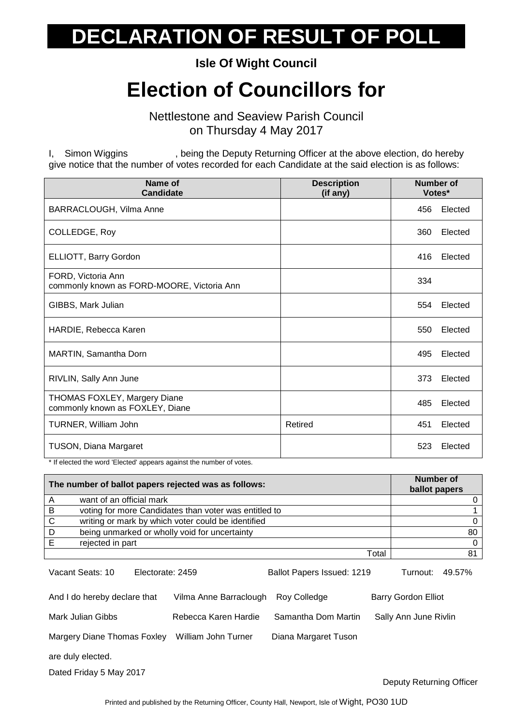**Isle Of Wight Council**

### **Election of Councillors for**

Nettlestone and Seaview Parish Council on Thursday 4 May 2017

I, Simon Wiggins , being the Deputy Returning Officer at the above election, do hereby give notice that the number of votes recorded for each Candidate at the said election is as follows:

| Name of<br><b>Candidate</b>                                                                         | <b>Description</b><br>(if any) | <b>Number of</b><br>Votes* |
|-----------------------------------------------------------------------------------------------------|--------------------------------|----------------------------|
| BARRACLOUGH, Vilma Anne                                                                             |                                | Elected<br>456             |
| COLLEDGE, Roy                                                                                       |                                | 360<br>Elected             |
| ELLIOTT, Barry Gordon                                                                               |                                | 416<br>Elected             |
| FORD, Victoria Ann<br>commonly known as FORD-MOORE, Victoria Ann                                    |                                | 334                        |
| GIBBS, Mark Julian                                                                                  |                                | 554<br>Elected             |
| HARDIE, Rebecca Karen                                                                               |                                | 550<br>Elected             |
| MARTIN, Samantha Dorn                                                                               |                                | 495<br>Elected             |
| RIVLIN, Sally Ann June                                                                              |                                | 373<br>Elected             |
| THOMAS FOXLEY, Margery Diane<br>commonly known as FOXLEY, Diane                                     |                                | 485<br>Elected             |
| TURNER, William John                                                                                | Retired                        | 451<br>Elected             |
| <b>TUSON, Diana Margaret</b><br>* If algoted the word 'Elected' eppears equipot the number of vetop |                                | 523<br>Elected             |

tted the word 'Elected' appears against the number of votes.

| The number of ballot papers rejected was as follows: |                                                       | Number of<br>ballot papers |
|------------------------------------------------------|-------------------------------------------------------|----------------------------|
|                                                      | want of an official mark                              |                            |
| В                                                    | voting for more Candidates than voter was entitled to |                            |
| C                                                    | writing or mark by which voter could be identified    |                            |
| D                                                    | being unmarked or wholly void for uncertainty         | 80                         |
|                                                      | rejected in part                                      |                            |
|                                                      | Total                                                 | 81                         |

| Vacant Seats: 10             | Electorate: 2459       | Ballot Papers Issued: 1219 | 49.57%<br>Turnout:         |
|------------------------------|------------------------|----------------------------|----------------------------|
| And I do hereby declare that | Vilma Anne Barraclough | Rov Colledge               | <b>Barry Gordon Elliot</b> |
| Mark Julian Gibbs            | Rebecca Karen Hardie   | Samantha Dom Martin        | Sally Ann June Rivlin      |
| Margery Diane Thomas Foxley  | William John Turner    | Diana Margaret Tuson       |                            |
| are duly elected.            |                        |                            |                            |
| Dated Friday 5 May 2017      |                        |                            |                            |

Deputy Returning Officer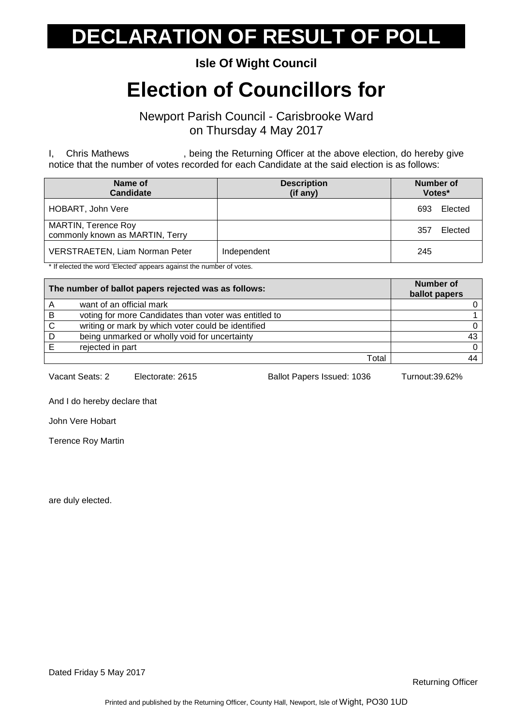#### **Isle Of Wight Council**

## **Election of Councillors for**

Newport Parish Council - Carisbrooke Ward on Thursday 4 May 2017

I, Chris Mathews , being the Returning Officer at the above election, do hereby give notice that the number of votes recorded for each Candidate at the said election is as follows:

| Name of<br><b>Candidate</b>                                   | <b>Description</b><br>(if any) | Number of<br>Votes* |
|---------------------------------------------------------------|--------------------------------|---------------------|
| HOBART, John Vere                                             |                                | Elected<br>693      |
| <b>MARTIN, Terence Roy</b><br>commonly known as MARTIN, Terry |                                | Elected<br>357      |
| <b>VERSTRAETEN, Liam Norman Peter</b>                         | Independent                    | 245                 |

\* If elected the word 'Elected' appears against the number of votes.

| The number of ballot papers rejected was as follows: |                                                       | Number of<br>ballot papers |
|------------------------------------------------------|-------------------------------------------------------|----------------------------|
|                                                      | want of an official mark                              |                            |
| B                                                    | voting for more Candidates than voter was entitled to |                            |
| -C                                                   | writing or mark by which voter could be identified    |                            |
| D                                                    | being unmarked or wholly void for uncertainty         | 43                         |
|                                                      | rejected in part                                      | $\Omega$                   |
|                                                      | Total                                                 | 44                         |

Vacant Seats: 2 Electorate: 2615 Ballot Papers Issued: 1036 Turnout:39.62%

And I do hereby declare that

John Vere Hobart

Terence Roy Martin

are duly elected.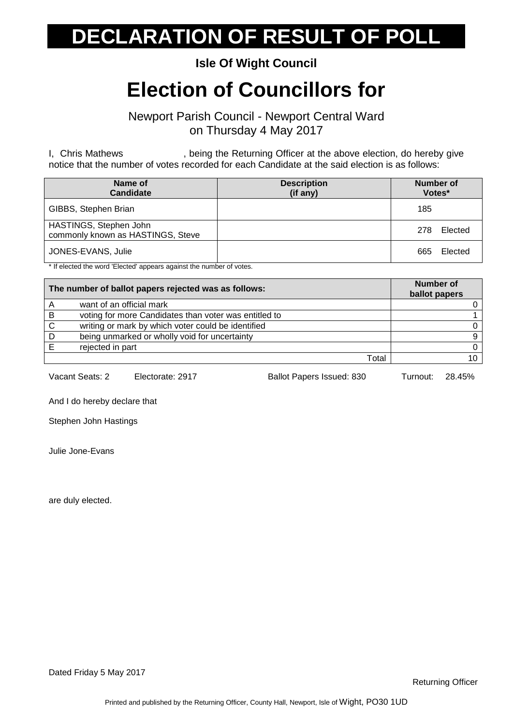#### **Isle Of Wight Council**

## **Election of Councillors for**

Newport Parish Council - Newport Central Ward on Thursday 4 May 2017

I, Chris Mathews , being the Returning Officer at the above election, do hereby give notice that the number of votes recorded for each Candidate at the said election is as follows:

| Name of<br><b>Candidate</b>                                 | <b>Description</b><br>(if any) | Number of<br>Votes* |
|-------------------------------------------------------------|--------------------------------|---------------------|
| GIBBS, Stephen Brian                                        |                                | 185                 |
| HASTINGS, Stephen John<br>commonly known as HASTINGS, Steve |                                | Elected<br>278      |
| JONES-EVANS, Julie                                          |                                | Elected<br>665      |

\* If elected the word 'Elected' appears against the number of votes.

| The number of ballot papers rejected was as follows: |                                                       | Number of<br>ballot papers |
|------------------------------------------------------|-------------------------------------------------------|----------------------------|
|                                                      | want of an official mark                              |                            |
| B                                                    | voting for more Candidates than voter was entitled to |                            |
| -C                                                   | writing or mark by which voter could be identified    |                            |
| D                                                    | being unmarked or wholly void for uncertainty         | 9                          |
|                                                      | rejected in part                                      | 0                          |
|                                                      | Total                                                 | 10                         |

Vacant Seats: 2 Electorate: 2917 Ballot Papers Issued: 830 Turnout: 28.45%

And I do hereby declare that

Stephen John Hastings

Julie Jone-Evans

are duly elected.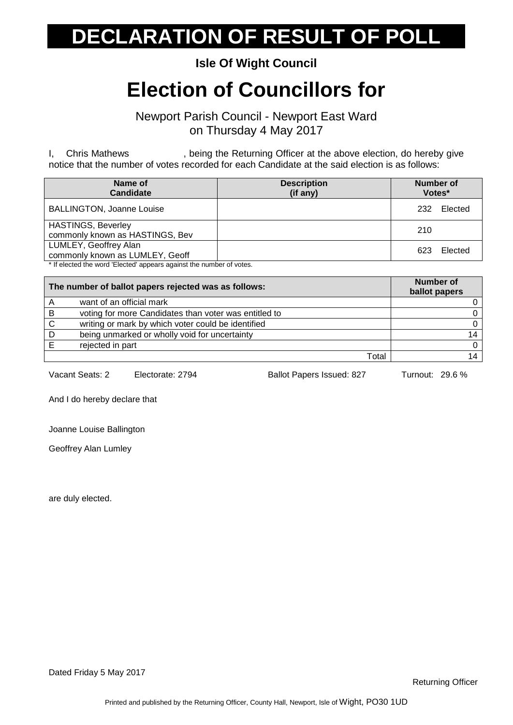#### **Isle Of Wight Council**

## **Election of Councillors for**

Newport Parish Council - Newport East Ward on Thursday 4 May 2017

I, Chris Mathews , being the Returning Officer at the above election, do hereby give notice that the number of votes recorded for each Candidate at the said election is as follows:

| Name of<br><b>Candidate</b>                                         | <b>Description</b><br>$(if$ any) | Number of<br>Votes* |
|---------------------------------------------------------------------|----------------------------------|---------------------|
| <b>BALLINGTON, Joanne Louise</b>                                    |                                  | Elected<br>232      |
| <b>HASTINGS, Beverley</b><br>commonly known as HASTINGS, Bev        |                                  | 210                 |
| LUMLEY, Geoffrey Alan<br>commonly known as LUMLEY, Geoff            |                                  | Elected<br>623      |
| * If elected the word 'Elected' appears against the number of votes |                                  |                     |

If elected the word 'Elected' appears against the number of votes.

| The number of ballot papers rejected was as follows: |                                                       | <b>Number of</b><br>ballot papers |
|------------------------------------------------------|-------------------------------------------------------|-----------------------------------|
|                                                      | want of an official mark                              |                                   |
| B                                                    | voting for more Candidates than voter was entitled to |                                   |
| C                                                    | writing or mark by which voter could be identified    |                                   |
| D                                                    | being unmarked or wholly void for uncertainty         | 14                                |
|                                                      | rejected in part                                      |                                   |
|                                                      | Total                                                 | 14                                |

Vacant Seats: 2 Electorate: 2794 Ballot Papers Issued: 827 Turnout: 29.6 %

And I do hereby declare that

Joanne Louise Ballington

Geoffrey Alan Lumley

are duly elected.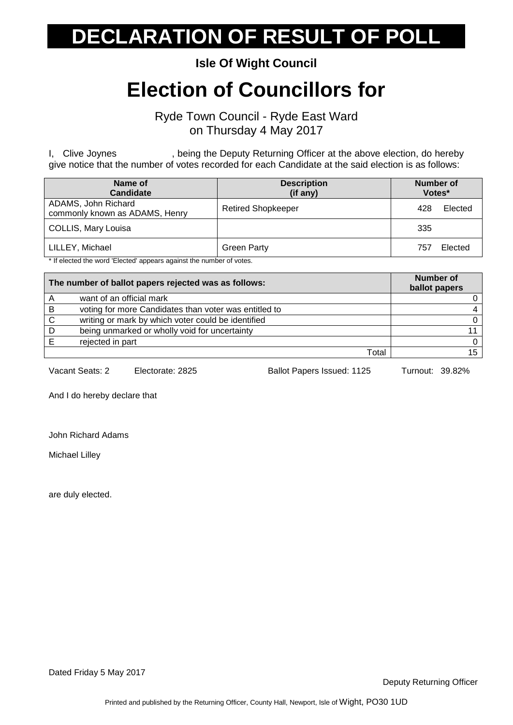**Isle Of Wight Council**

## **Election of Councillors for**

Ryde Town Council - Ryde East Ward on Thursday 4 May 2017

I, Clive Joynes , being the Deputy Returning Officer at the above election, do hereby give notice that the number of votes recorded for each Candidate at the said election is as follows:

| Name of<br><b>Candidate</b>                           | <b>Description</b><br>(if any) | Number of<br>Votes* |
|-------------------------------------------------------|--------------------------------|---------------------|
| ADAMS, John Richard<br>commonly known as ADAMS, Henry | <b>Retired Shopkeeper</b>      | Elected<br>428      |
| COLLIS, Mary Louisa                                   |                                | 335                 |
| LILLEY, Michael                                       | <b>Green Party</b>             | Elected<br>757      |

\* If elected the word 'Elected' appears against the number of votes.

| The number of ballot papers rejected was as follows: |                                                       | <b>Number of</b><br>ballot papers |
|------------------------------------------------------|-------------------------------------------------------|-----------------------------------|
| A                                                    | want of an official mark                              |                                   |
| B                                                    | voting for more Candidates than voter was entitled to |                                   |
| C                                                    | writing or mark by which voter could be identified    | 0                                 |
| D                                                    | being unmarked or wholly void for uncertainty         |                                   |
|                                                      | rejected in part                                      | <sup>n</sup>                      |
|                                                      | Total                                                 | 15                                |

Vacant Seats: 2 Electorate: 2825 Ballot Papers Issued: 1125 Turnout: 39.82%

And I do hereby declare that

John Richard Adams

Michael Lilley

are duly elected.

Dated Friday 5 May 2017

Deputy Returning Officer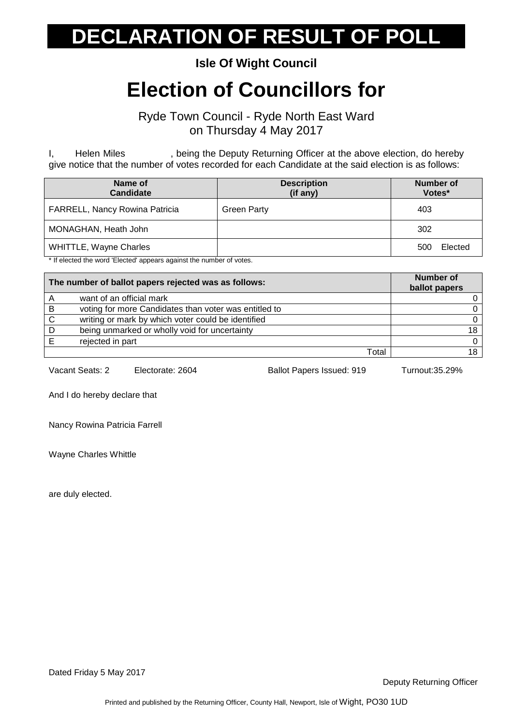#### **Isle Of Wight Council**

## **Election of Councillors for**

Ryde Town Council - Ryde North East Ward on Thursday 4 May 2017

I, Helen Miles , being the Deputy Returning Officer at the above election, do hereby give notice that the number of votes recorded for each Candidate at the said election is as follows:

| Name of<br>Candidate           | <b>Description</b><br>(if any) | Number of<br>Votes* |
|--------------------------------|--------------------------------|---------------------|
| FARRELL, Nancy Rowina Patricia | <b>Green Party</b>             | 403                 |
| MONAGHAN, Heath John           |                                | 302                 |
| <b>WHITTLE, Wayne Charles</b>  |                                | Elected<br>500      |

\* If elected the word 'Elected' appears against the number of votes.

| The number of ballot papers rejected was as follows: | <b>Number of</b><br>ballot papers                     |              |
|------------------------------------------------------|-------------------------------------------------------|--------------|
| A                                                    | want of an official mark                              |              |
| -B                                                   | voting for more Candidates than voter was entitled to |              |
| C.                                                   | writing or mark by which voter could be identified    | <sup>n</sup> |
| D                                                    | being unmarked or wholly void for uncertainty         | 18           |
|                                                      | rejected in part                                      | $\Omega$     |
|                                                      | Total                                                 | 18           |

Vacant Seats: 2 Electorate: 2604 Ballot Papers Issued: 919 Turnout:35.29%

And I do hereby declare that

Nancy Rowina Patricia Farrell

Wayne Charles Whittle

are duly elected.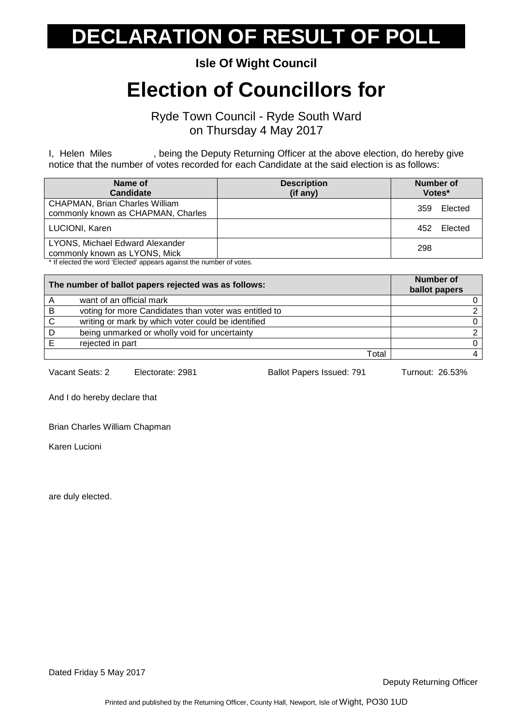**Isle Of Wight Council**

## **Election of Councillors for**

Ryde Town Council - Ryde South Ward on Thursday 4 May 2017

I, Helen Miles , being the Deputy Returning Officer at the above election, do hereby give notice that the number of votes recorded for each Candidate at the said election is as follows:

| Name of<br><b>Candidate</b>                                                 | <b>Description</b><br>(if any) | Number of<br>Votes* |
|-----------------------------------------------------------------------------|--------------------------------|---------------------|
| <b>CHAPMAN, Brian Charles William</b><br>commonly known as CHAPMAN, Charles |                                | Elected<br>359      |
| LUCIONI, Karen                                                              |                                | Elected<br>452      |
| LYONS, Michael Edward Alexander<br>commonly known as LYONS, Mick            |                                | 298                 |

If elected the word 'Elected' appears against the number of votes.

| The number of ballot papers rejected was as follows: |                                                       | <b>Number of</b><br>ballot papers |
|------------------------------------------------------|-------------------------------------------------------|-----------------------------------|
| A                                                    | want of an official mark                              |                                   |
| B                                                    | voting for more Candidates than voter was entitled to |                                   |
| <sub>C</sub>                                         | writing or mark by which voter could be identified    |                                   |
| D                                                    | being unmarked or wholly void for uncertainty         |                                   |
|                                                      | rejected in part                                      |                                   |
|                                                      | Total                                                 |                                   |

Vacant Seats: 2 Electorate: 2981 Ballot Papers Issued: 791 Turnout: 26.53%

And I do hereby declare that

Brian Charles William Chapman

Karen Lucioni

are duly elected.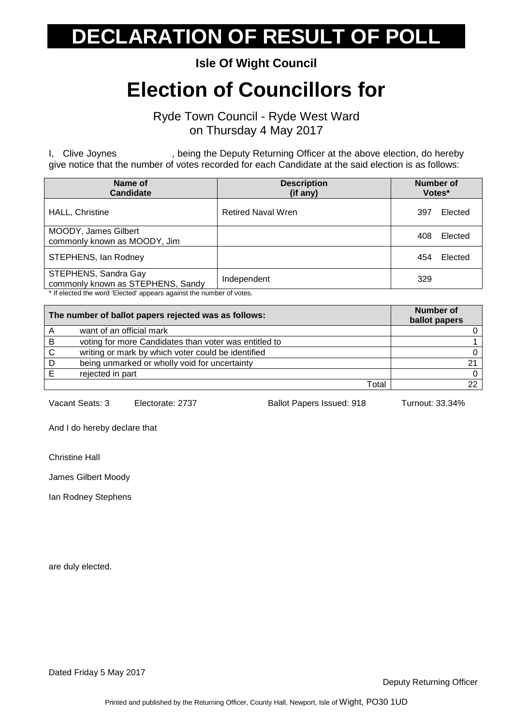**Isle Of Wight Council**

## **Election of Councillors for**

Ryde Town Council - Ryde West Ward on Thursday 4 May 2017

I, Clive Joynes , being the Deputy Returning Officer at the above election, do hereby give notice that the number of votes recorded for each Candidate at the said election is as follows:

| Name of<br><b>Candidate</b>                               | <b>Description</b><br>(if any) | <b>Number of</b><br>Votes* |
|-----------------------------------------------------------|--------------------------------|----------------------------|
| <b>HALL, Christine</b>                                    | <b>Retired Naval Wren</b>      | Elected<br>397             |
| MOODY, James Gilbert<br>commonly known as MOODY, Jim      |                                | Elected<br>408             |
| STEPHENS, Ian Rodney                                      |                                | Elected<br>454             |
| STEPHENS, Sandra Gay<br>commonly known as STEPHENS, Sandy | Independent                    | 329                        |

\* If elected the word 'Elected' appears against the number of votes.

| The number of ballot papers rejected was as follows: | <b>Number of</b><br>ballot papers                     |    |
|------------------------------------------------------|-------------------------------------------------------|----|
|                                                      | want of an official mark                              |    |
| -B                                                   | voting for more Candidates than voter was entitled to |    |
| <sup>-</sup> C                                       | writing or mark by which voter could be identified    |    |
| D                                                    | being unmarked or wholly void for uncertainty         |    |
| E                                                    | rejected in part                                      |    |
|                                                      | Total                                                 | つつ |

Vacant Seats: 3 Electorate: 2737 Ballot Papers Issued: 918 Turnout: 33.34%

And I do hereby declare that

Christine Hall

James Gilbert Moody

Ian Rodney Stephens

are duly elected.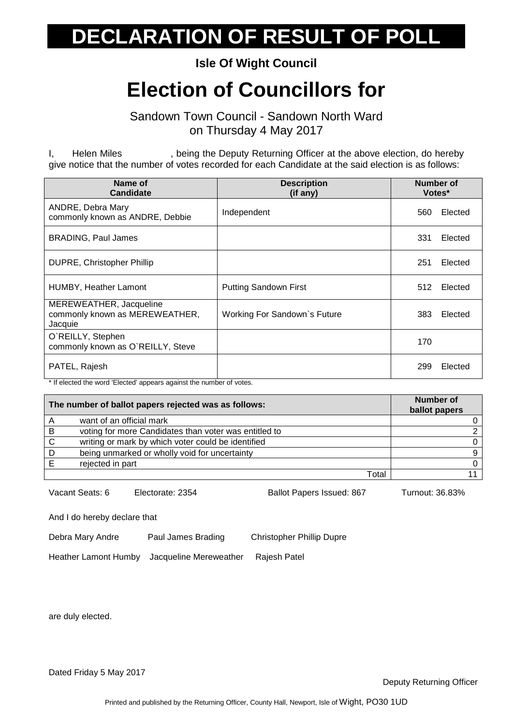**Isle Of Wight Council**

## **Election of Councillors for**

Sandown Town Council - Sandown North Ward on Thursday 4 May 2017

I, Helen Miles , being the Deputy Returning Officer at the above election, do hereby give notice that the number of votes recorded for each Candidate at the said election is as follows:

| Name of<br><b>Candidate</b>                                          | <b>Description</b><br>(if any) | Number of<br>Votes* |
|----------------------------------------------------------------------|--------------------------------|---------------------|
| ANDRE, Debra Mary<br>commonly known as ANDRE, Debbie                 | Independent                    | Elected<br>560      |
| <b>BRADING, Paul James</b>                                           |                                | 331<br>Elected      |
| <b>DUPRE, Christopher Phillip</b>                                    |                                | 251<br>Elected      |
| HUMBY, Heather Lamont                                                | <b>Putting Sandown First</b>   | Elected<br>512      |
| MEREWEATHER, Jacqueline<br>commonly known as MEREWEATHER,<br>Jacquie | Working For Sandown's Future   | Elected<br>383      |
| O`REILLY, Stephen<br>commonly known as O'REILLY, Steve               |                                | 170                 |
| PATEL, Rajesh                                                        |                                | 299<br>Elected      |

\* If elected the word 'Elected' appears against the number of votes.

| The number of ballot papers rejected was as follows: | <b>Number of</b><br>ballot papers                     |  |
|------------------------------------------------------|-------------------------------------------------------|--|
|                                                      | want of an official mark                              |  |
| B                                                    | voting for more Candidates than voter was entitled to |  |
| C                                                    | writing or mark by which voter could be identified    |  |
|                                                      | being unmarked or wholly void for uncertainty         |  |
|                                                      | rejected in part                                      |  |
|                                                      | Total                                                 |  |

Vacant Seats: 6 Electorate: 2354 Ballot Papers Issued: 867 Turnout: 36.83%

And I do hereby declare that

Debra Mary Andre Paul James Brading Christopher Phillip Dupre

Heather Lamont Humby Jacqueline Mereweather Rajesh Patel

are duly elected.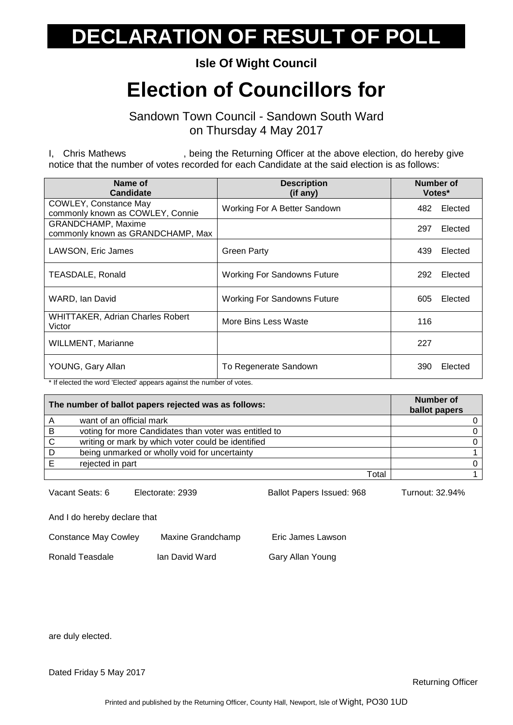**Isle Of Wight Council**

## **Election of Councillors for**

Sandown Town Council - Sandown South Ward on Thursday 4 May 2017

I, Chris Mathews , being the Returning Officer at the above election, do hereby give notice that the number of votes recorded for each Candidate at the said election is as follows:

| Name of<br><b>Candidate</b>                               | <b>Description</b><br>(if any)     | <b>Number of</b><br>Votes* |
|-----------------------------------------------------------|------------------------------------|----------------------------|
| COWLEY, Constance May<br>commonly known as COWLEY, Connie | Working For A Better Sandown       | Elected<br>482             |
| GRANDCHAMP, Maxime<br>commonly known as GRANDCHAMP, Max   |                                    | 297<br>Elected             |
| LAWSON, Eric James                                        | <b>Green Party</b>                 | Elected<br>439             |
| TEASDALE, Ronald                                          | <b>Working For Sandowns Future</b> | 292<br>Elected             |
| WARD, Ian David                                           | <b>Working For Sandowns Future</b> | Elected<br>605             |
| <b>WHITTAKER, Adrian Charles Robert</b><br>Victor         | More Bins Less Waste               | 116                        |
| <b>WILLMENT, Marianne</b>                                 |                                    | 227                        |
| YOUNG, Gary Allan                                         | To Regenerate Sandown              | Elected<br>390             |

\* If elected the word 'Elected' appears against the number of votes.

| The number of ballot papers rejected was as follows: | <b>Number of</b><br>ballot papers                     |    |
|------------------------------------------------------|-------------------------------------------------------|----|
|                                                      | want of an official mark                              | 0. |
| B                                                    | voting for more Candidates than voter was entitled to | 0  |
| C                                                    | writing or mark by which voter could be identified    | 0  |
| D                                                    | being unmarked or wholly void for uncertainty         |    |
|                                                      | rejected in part                                      | 0  |
|                                                      | Total                                                 |    |

Vacant Seats: 6 Electorate: 2939 Ballot Papers Issued: 968 Turnout: 32.94%

And I do hereby declare that

| <b>Constance May Cowley</b> | Maxine Grandchamp |
|-----------------------------|-------------------|
|                             |                   |

Ronald Teasdale Ian David Ward Gary Allan Young

Eric James Lawson

are duly elected.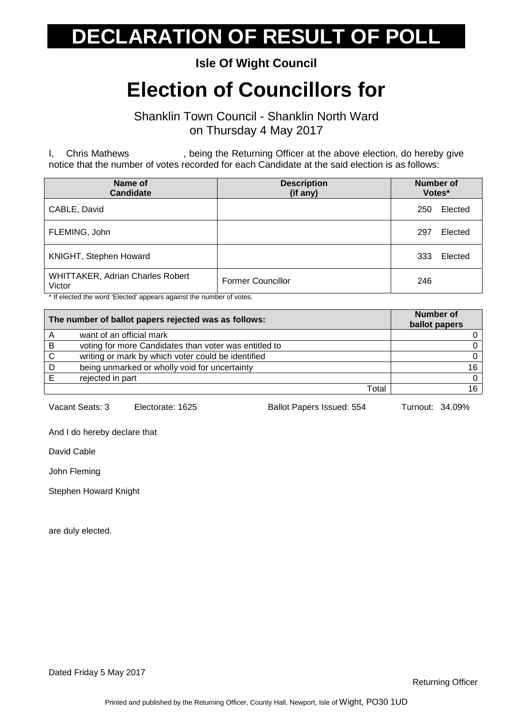**Isle Of Wight Council**

## **Election of Councillors for**

Shanklin Town Council - Shanklin North Ward on Thursday 4 May 2017

I, Chris Mathews , being the Returning Officer at the above election, do hereby give notice that the number of votes recorded for each Candidate at the said election is as follows:

| Name of<br><b>Candidate</b>                                 | <b>Description</b><br>(if any)            | <b>Number of</b><br>Votes* |
|-------------------------------------------------------------|-------------------------------------------|----------------------------|
| CABLE, David                                                |                                           | Elected<br>250             |
| FLEMING, John                                               |                                           | Elected<br>297             |
| KNIGHT, Stephen Howard                                      |                                           | Elected<br>333             |
| WHITTAKER, Adrian Charles Robert<br>Victor<br>$\cdots$<br>. | <b>Former Councillor</b><br>$\sim$ $\sim$ | 246                        |

\* If elected the word 'Elected' appears against the number of votes.

| The number of ballot papers rejected was as follows: |                                                       | <b>Number of</b><br>ballot papers |
|------------------------------------------------------|-------------------------------------------------------|-----------------------------------|
| $\overline{A}$                                       | want of an official mark                              |                                   |
| -B                                                   | voting for more Candidates than voter was entitled to |                                   |
| <sub>C</sub>                                         | writing or mark by which voter could be identified    |                                   |
| D                                                    | being unmarked or wholly void for uncertainty         | 16                                |
|                                                      | rejected in part                                      | 0                                 |
|                                                      | Total                                                 | 16.                               |

Vacant Seats: 3 Electorate: 1625 Ballot Papers Issued: 554 Turnout: 34.09%

And I do hereby declare that

David Cable

John Fleming

Stephen Howard Knight

are duly elected.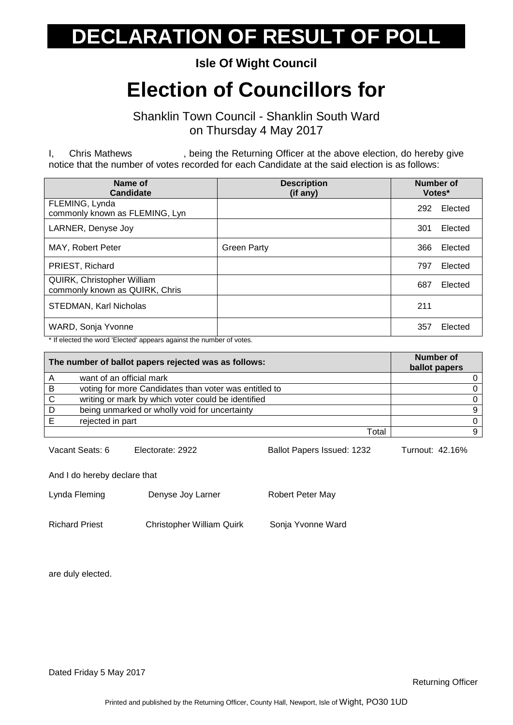**Isle Of Wight Council**

## **Election of Councillors for**

Shanklin Town Council - Shanklin South Ward on Thursday 4 May 2017

I, Chris Mathews , being the Returning Officer at the above election, do hereby give notice that the number of votes recorded for each Candidate at the said election is as follows:

| Name of<br><b>Candidate</b>                                         | <b>Description</b><br>(if any) | <b>Number of</b><br>Votes* |
|---------------------------------------------------------------------|--------------------------------|----------------------------|
| FLEMING, Lynda<br>commonly known as FLEMING, Lyn                    |                                | Elected<br>292             |
| LARNER, Denyse Joy                                                  |                                | 301<br>Elected             |
| MAY, Robert Peter                                                   | <b>Green Party</b>             | 366<br>Elected             |
| PRIEST, Richard                                                     |                                | Elected<br>797             |
| <b>QUIRK, Christopher William</b><br>commonly known as QUIRK, Chris |                                | 687<br>Elected             |
| STEDMAN, Karl Nicholas                                              |                                | 211                        |
| WARD, Sonja Yvonne                                                  |                                | 357<br>Elected             |

\* If elected the word 'Elected' appears against the number of votes.

| The number of ballot papers rejected was as follows: |                                                       | <b>Number of</b><br>ballot papers |
|------------------------------------------------------|-------------------------------------------------------|-----------------------------------|
|                                                      | want of an official mark                              |                                   |
| B                                                    | voting for more Candidates than voter was entitled to |                                   |
| <sup>-</sup> C                                       | writing or mark by which voter could be identified    |                                   |
| D                                                    | being unmarked or wholly void for uncertainty         |                                   |
|                                                      | rejected in part                                      |                                   |
|                                                      | Total                                                 |                                   |

Vacant Seats: 6 Electorate: 2922 Ballot Papers Issued: 1232 Turnout: 42.16%

And I do hereby declare that

| Lynda Fleming  | Denyse Joy Larner                | Robert Peter May  |
|----------------|----------------------------------|-------------------|
| Richard Priest | <b>Christopher William Quirk</b> | Sonja Yvonne Ward |

are duly elected.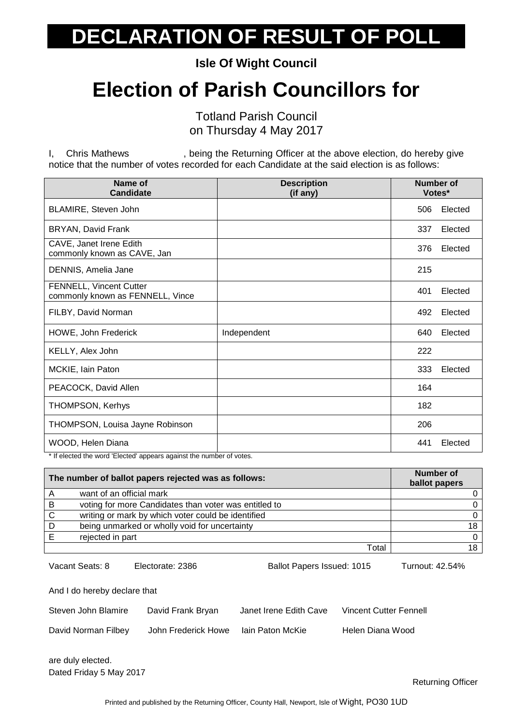**Isle Of Wight Council**

## **Election of Parish Councillors for**

Totland Parish Council on Thursday 4 May 2017

I, Chris Mathews , being the Returning Officer at the above election, do hereby give notice that the number of votes recorded for each Candidate at the said election is as follows:

| Name of<br><b>Candidate</b>                                                                                 | <b>Description</b><br>(if any) | <b>Number of</b><br>Votes* |         |
|-------------------------------------------------------------------------------------------------------------|--------------------------------|----------------------------|---------|
| BLAMIRE, Steven John                                                                                        |                                | 506                        | Elected |
| BRYAN, David Frank                                                                                          |                                | 337                        | Elected |
| CAVE, Janet Irene Edith<br>commonly known as CAVE, Jan                                                      |                                | 376                        | Elected |
| DENNIS, Amelia Jane                                                                                         |                                | 215                        |         |
| <b>FENNELL, Vincent Cutter</b><br>commonly known as FENNELL, Vince                                          |                                | 401                        | Elected |
| FILBY, David Norman                                                                                         |                                | 492                        | Elected |
| HOWE, John Frederick                                                                                        | Independent                    | 640                        | Elected |
| KELLY, Alex John                                                                                            |                                | 222                        |         |
| MCKIE, Iain Paton                                                                                           |                                | 333                        | Elected |
| PEACOCK, David Allen                                                                                        |                                | 164                        |         |
| <b>THOMPSON, Kerhys</b>                                                                                     |                                | 182                        |         |
| THOMPSON, Louisa Jayne Robinson                                                                             |                                | 206                        |         |
| WOOD, Helen Diana<br>ومنعور كمسوا والمسريون وعافيهم أوصوص وسوم ومسوا الموقوع التسويرين وعافره ومقوماته كالخ |                                | 441                        | Elected |

If elected the word 'Elected' appears against the number of votes.

| The number of ballot papers rejected was as follows: |                                                       | Number of<br>ballot papers |
|------------------------------------------------------|-------------------------------------------------------|----------------------------|
| A                                                    | want of an official mark                              |                            |
| B                                                    | voting for more Candidates than voter was entitled to |                            |
| C                                                    | writing or mark by which voter could be identified    |                            |
| D                                                    | being unmarked or wholly void for uncertainty         | 18                         |
|                                                      | rejected in part                                      |                            |
|                                                      | Total                                                 |                            |

Vacant Seats: 8 Electorate: 2386 Ballot Papers Issued: 1015 Turnout: 42.54%

And I do hereby declare that

| Steven John Blamire | David Frank Bryan   | Janet Irene Edith Cave | Vincent Cutter Fennell |
|---------------------|---------------------|------------------------|------------------------|
| David Norman Filbey | John Frederick Howe | lain Paton McKie       | Helen Diana Wood       |

Dated Friday 5 May 2017 are duly elected.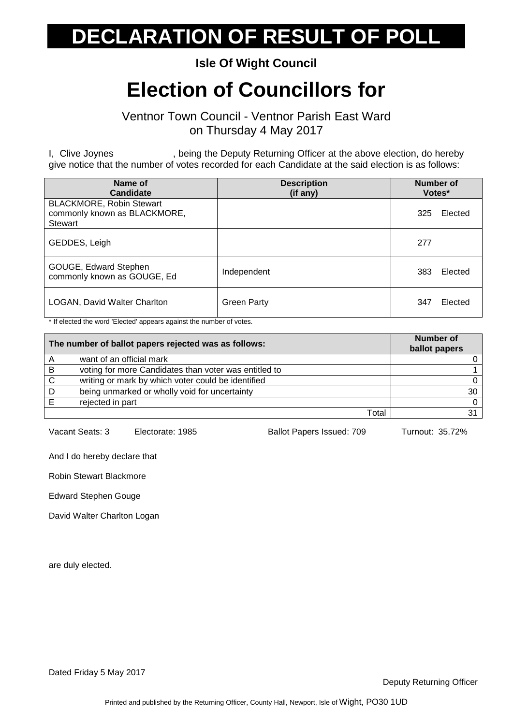#### **Isle Of Wight Council**

## **Election of Councillors for**

Ventnor Town Council - Ventnor Parish East Ward on Thursday 4 May 2017

I, Clive Joynes , being the Deputy Returning Officer at the above election, do hereby give notice that the number of votes recorded for each Candidate at the said election is as follows:

| Name of<br>Candidate                                                              | <b>Description</b><br>(if any) | Number of<br>Votes* |
|-----------------------------------------------------------------------------------|--------------------------------|---------------------|
| <b>BLACKMORE, Robin Stewart</b><br>commonly known as BLACKMORE,<br><b>Stewart</b> |                                | Elected<br>325      |
| GEDDES, Leigh                                                                     |                                | 277                 |
| GOUGE, Edward Stephen<br>commonly known as GOUGE, Ed                              | Independent                    | 383<br>Elected      |
| <b>LOGAN, David Walter Charlton</b>                                               | <b>Green Party</b>             | 347<br>Elected      |

\* If elected the word 'Elected' appears against the number of votes.

| The number of ballot papers rejected was as follows: |                                                       | <b>Number of</b><br>ballot papers |
|------------------------------------------------------|-------------------------------------------------------|-----------------------------------|
|                                                      | want of an official mark                              |                                   |
| B                                                    | voting for more Candidates than voter was entitled to |                                   |
| C                                                    | writing or mark by which voter could be identified    |                                   |
| D                                                    | being unmarked or wholly void for uncertainty         | 30                                |
|                                                      | rejected in part                                      | $\Omega$                          |
|                                                      | Total                                                 | 31                                |

Vacant Seats: 3 Electorate: 1985 Ballot Papers Issued: 709 Turnout: 35.72%

And I do hereby declare that

Robin Stewart Blackmore

Edward Stephen Gouge

David Walter Charlton Logan

are duly elected.